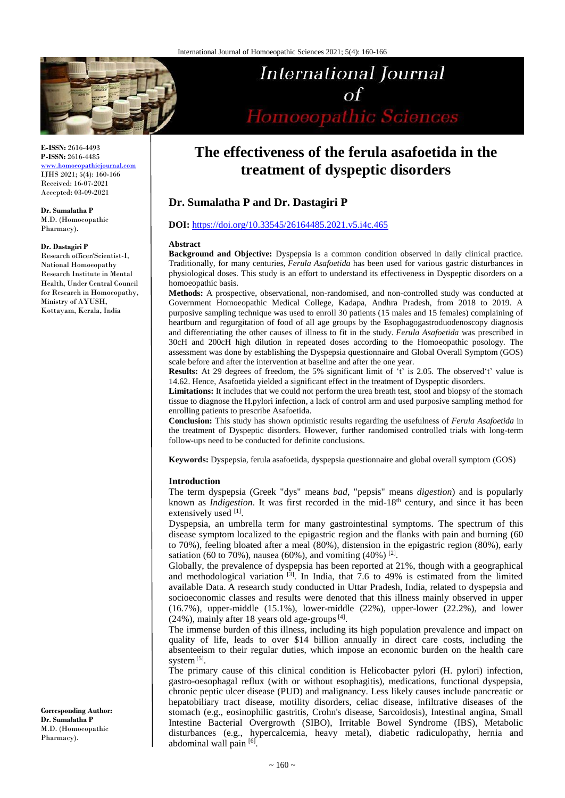

**E-ISSN:** 2616-4493 **P-ISSN:** 2616-4485

[www.homoeopathicjournal.com](file://Server/test/homoeopathicjournal/issue/vol%204/issue%201/www.homoeopathicjournal.com) IJHS 2021; 5(4): 160-166 Received: 16-07-2021 Accepted: 03-09-2021

**Dr. Sumalatha P** M.D. (Homoeopathic Pharmacy).

#### **Dr. Dastagiri P**

Research officer/Scientist-I, National Homoeopathy Research Institute in Mental Health, Under Central Council for Research in Homoeopathy, Ministry of AYUSH, Kottayam, Kerala, India

**Corresponding Author: Dr. Sumalatha P** M.D. (Homoeopathic Pharmacy).

# International Journal  $\Omega$ Homoeopathic Sciences

# **The effectiveness of the ferula asafoetida in the treatment of dyspeptic disorders**

# **Dr. Sumalatha P and Dr. Dastagiri P**

#### **DOI:** <https://doi.org/10.33545/26164485.2021.v5.i4c.465>

#### **Abstract**

**Background and Objective:** Dyspepsia is a common condition observed in daily clinical practice. Traditionally, for many centuries, *Ferula Asafoetida* has been used for various gastric disturbances in physiological doses. This study is an effort to understand its effectiveness in Dyspeptic disorders on a homoeopathic basis.

**Methods:** A prospective, observational, non-randomised, and non-controlled study was conducted at Government Homoeopathic Medical College, Kadapa, Andhra Pradesh, from 2018 to 2019. A purposive sampling technique was used to enroll 30 patients (15 males and 15 females) complaining of heartburn and regurgitation of food of all age groups by the Esophagogastroduodenoscopy diagnosis and differentiating the other causes of illness to fit in the study. *Ferula Asafoetida* was prescribed in 30cH and 200cH high dilution in repeated doses according to the Homoeopathic posology. The assessment was done by establishing the Dyspepsia questionnaire and Global Overall Symptom (GOS) scale before and after the intervention at baseline and after the one year.

**Results:** At 29 degrees of freedom, the 5% significant limit of 't' is 2.05. The observed't' value is 14.62. Hence, Asafoetida yielded a significant effect in the treatment of Dyspeptic disorders.

**Limitations:** It includes that we could not perform the urea breath test, stool and biopsy of the stomach tissue to diagnose the H.pylori infection, a lack of control arm and used purposive sampling method for enrolling patients to prescribe Asafoetida.

**Conclusion:** This study has shown optimistic results regarding the usefulness of *Ferula Asafoetida* in the treatment of Dyspeptic disorders. However, further randomised controlled trials with long-term follow-ups need to be conducted for definite conclusions.

**Keywords:** Dyspepsia, ferula asafoetida, dyspepsia questionnaire and global overall symptom (GOS)

#### **Introduction**

The term dyspepsia (Greek "dys" means *bad*, "pepsis" means *digestion*) and is popularly known as *Indigestion*. It was first recorded in the mid-18<sup>th</sup> century, and since it has been extensively used [1].

Dyspepsia, an umbrella term for many gastrointestinal symptoms. The spectrum of this disease symptom localized to the epigastric region and the flanks with pain and burning (60 to 70%), feeling bloated after a meal (80%), distension in the epigastric region (80%), early satiation (60 to 70%), nausea (60%), and vomiting (40%) <sup>[2]</sup>.

Globally, the prevalence of dyspepsia has been reported at 21%, though with a geographical and methodological variation  $[3]$ . In India, that 7.6 to 49% is estimated from the limited available Data. A research study conducted in Uttar Pradesh, India, related to dyspepsia and socioeconomic classes and results were denoted that this illness mainly observed in upper  $(16.7\%)$ , upper-middle  $(15.1\%)$ , lower-middle  $(22\%)$ , upper-lower  $(22.2\%)$ , and lower  $(24%)$ , mainly after 18 years old age-groups<sup>[4]</sup>.

The immense burden of this illness, including its high population prevalence and impact on quality of life, leads to over \$14 billion annually in direct care costs, including the absenteeism to their regular duties, which impose an economic burden on the health care system<sup>[5]</sup>.

The primary cause of this clinical condition is Helicobacter pylori (H. pylori) infection, gastro-oesophagal reflux (with or without esophagitis), medications, functional dyspepsia, chronic peptic ulcer disease (PUD) and malignancy. Less likely causes include pancreatic or hepatobiliary tract disease, motility disorders, celiac disease, infiltrative diseases of the stomach (e.g., eosinophilic gastritis, Crohn's disease, Sarcoidosis), Intestinal angina, Small Intestine Bacterial Overgrowth (SIBO), Irritable Bowel Syndrome (IBS), Metabolic disturbances (e.g., hypercalcemia, heavy metal), diabetic radiculopathy, hernia and abdominal wall pain [6].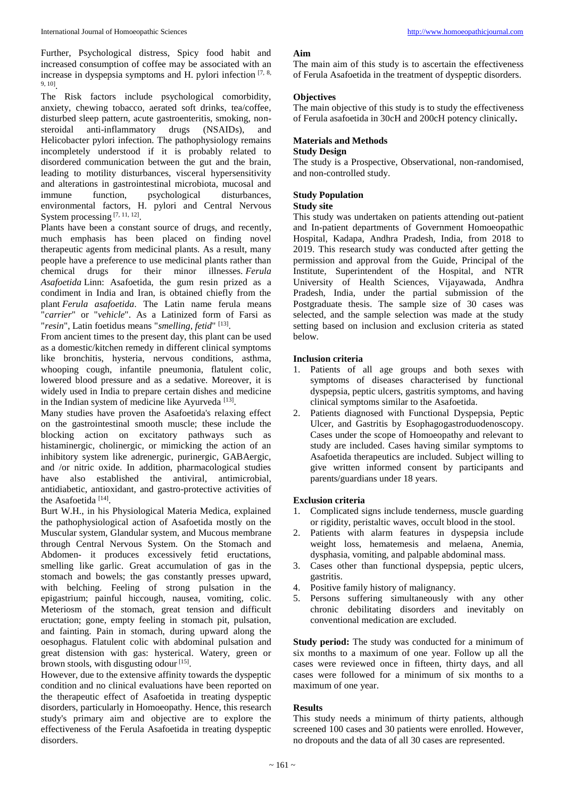Further, Psychological distress, Spicy food habit and increased consumption of coffee may be associated with an increase in dyspepsia symptoms and H. pylori infection  $[7, 8, 8]$ 9, 10] .

The Risk factors include psychological comorbidity, anxiety, chewing tobacco, aerated soft drinks, tea/coffee, disturbed sleep pattern, acute gastroenteritis, smoking, nonsteroidal anti-inflammatory drugs (NSAIDs), and Helicobacter pylori infection. The pathophysiology remains incompletely understood if it is probably related to disordered communication between the gut and the brain, leading to motility disturbances, visceral hypersensitivity and alterations in gastrointestinal microbiota, mucosal and immune function, psychological disturbances, environmental factors, H. pylori and Central Nervous System processing [7, 11, 12].

Plants have been a constant source of drugs, and recently, much emphasis has been placed on finding novel therapeutic agents from medicinal plants. As a result, many people have a preference to use medicinal plants rather than chemical drugs for their minor illnesses. *Ferula Asafoetida* Linn: Asafoetida, the gum resin prized as a condiment in India and Iran, is obtained chiefly from the plant *Ferula asafoetida*. The Latin name ferula means "*carrier*" or "*vehicle*". As a Latinized form of Farsi as "*resin*", Latin foetidus means "*smelling, fetid*" [13] .

From ancient times to the present day, this plant can be used as a domestic/kitchen remedy in different clinical symptoms like bronchitis, hysteria, nervous conditions, asthma, whooping cough, infantile pneumonia, flatulent colic, lowered blood pressure and as a sedative. Moreover, it is widely used in India to prepare certain dishes and medicine in the Indian system of medicine like Ayurveda<sup>[13]</sup>.

Many studies have proven the Asafoetida's relaxing effect on the gastrointestinal smooth muscle; these include the blocking action on excitatory pathways such as histaminergic, cholinergic, or mimicking the action of an inhibitory system like adrenergic, purinergic, GABAergic, and /or nitric oxide. In addition, pharmacological studies have also established the antiviral, antimicrobial, antidiabetic, antioxidant, and gastro-protective activities of the Asafoetida<sup>[14]</sup>.

Burt W.H., in his Physiological Materia Medica, explained the pathophysiological action of Asafoetida mostly on the Muscular system, Glandular system, and Mucous membrane through Central Nervous System. On the Stomach and Abdomen- it produces excessively fetid eructations, smelling like garlic. Great accumulation of gas in the stomach and bowels; the gas constantly presses upward, with belching. Feeling of strong pulsation in the epigastrium; painful hiccough, nausea, vomiting, colic. Meteriosm of the stomach, great tension and difficult eructation; gone, empty feeling in stomach pit, pulsation, and fainting. Pain in stomach, during upward along the oesophagus. Flatulent colic with abdominal pulsation and great distension with gas: hysterical. Watery, green or brown stools, with disgusting odour<sup>[15]</sup>.

However, due to the extensive affinity towards the dyspeptic condition and no clinical evaluations have been reported on the therapeutic effect of Asafoetida in treating dyspeptic disorders, particularly in Homoeopathy. Hence, this research study's primary aim and objective are to explore the effectiveness of the Ferula Asafoetida in treating dyspeptic disorders.

#### **Aim**

The main aim of this study is to ascertain the effectiveness of Ferula Asafoetida in the treatment of dyspeptic disorders.

#### **Objectives**

The main objective of this study is to study the effectiveness of Ferula asafoetida in 30cH and 200cH potency clinically**.** 

# **Materials and Methods**

### **Study Design**

The study is a Prospective, Observational, non-randomised, and non-controlled study.

### **Study Population**

## **Study site**

This study was undertaken on patients attending out-patient and In-patient departments of Government Homoeopathic Hospital, Kadapa, Andhra Pradesh, India, from 2018 to 2019. This research study was conducted after getting the permission and approval from the Guide, Principal of the Institute, Superintendent of the Hospital, and NTR University of Health Sciences, Vijayawada, Andhra Pradesh, India, under the partial submission of the Postgraduate thesis. The sample size of 30 cases was selected, and the sample selection was made at the study setting based on inclusion and exclusion criteria as stated below.

#### **Inclusion criteria**

- 1. Patients of all age groups and both sexes with symptoms of diseases characterised by functional dyspepsia, peptic ulcers, gastritis symptoms, and having clinical symptoms similar to the Asafoetida.
- 2. Patients diagnosed with Functional Dyspepsia, Peptic Ulcer, and Gastritis by Esophagogastroduodenoscopy. Cases under the scope of Homoeopathy and relevant to study are included. Cases having similar symptoms to Asafoetida therapeutics are included. Subject willing to give written informed consent by participants and parents/guardians under 18 years.

#### **Exclusion criteria**

- 1. Complicated signs include tenderness, muscle guarding or rigidity, peristaltic waves, occult blood in the stool.
- 2. Patients with alarm features in dyspepsia include weight loss, hematemesis and melaena, Anemia, dysphasia, vomiting, and palpable abdominal mass.
- 3. Cases other than functional dyspepsia, peptic ulcers, gastritis.
- 4. Positive family history of malignancy.
- 5. Persons suffering simultaneously with any other chronic debilitating disorders and inevitably on conventional medication are excluded.

**Study period:** The study was conducted for a minimum of six months to a maximum of one year. Follow up all the cases were reviewed once in fifteen, thirty days, and all cases were followed for a minimum of six months to a maximum of one year.

#### **Results**

This study needs a minimum of thirty patients, although screened 100 cases and 30 patients were enrolled. However, no dropouts and the data of all 30 cases are represented.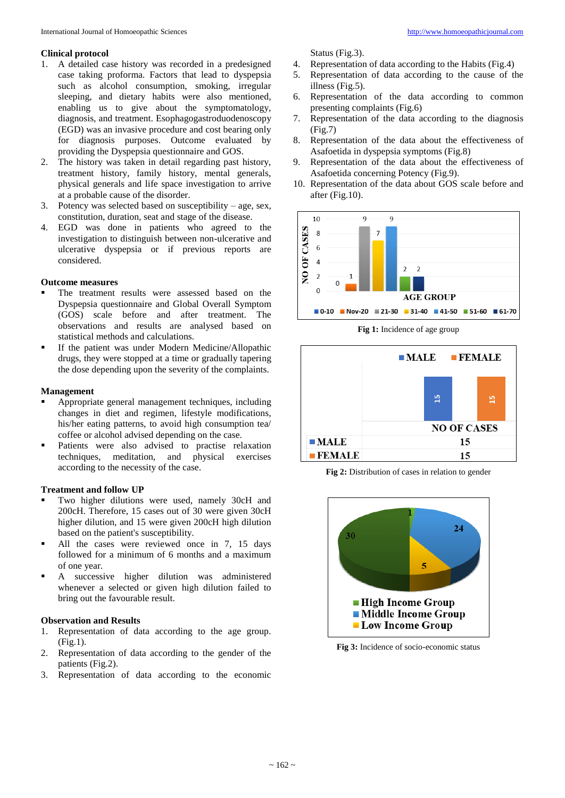#### **Clinical protocol**

- 1. A detailed case history was recorded in a predesigned case taking proforma. Factors that lead to dyspepsia such as alcohol consumption, smoking, irregular sleeping, and dietary habits were also mentioned, enabling us to give about the symptomatology, diagnosis, and treatment. Esophagogastroduodenoscopy (EGD) was an invasive procedure and cost bearing only for diagnosis purposes. Outcome evaluated by providing the Dyspepsia questionnaire and GOS.
- 2. The history was taken in detail regarding past history, treatment history, family history, mental generals, physical generals and life space investigation to arrive at a probable cause of the disorder.
- 3. Potency was selected based on susceptibility age, sex, constitution, duration, seat and stage of the disease.
- 4. EGD was done in patients who agreed to the investigation to distinguish between non-ulcerative and ulcerative dyspepsia or if previous reports are considered.

#### **Outcome measures**

- The treatment results were assessed based on the Dyspepsia questionnaire and Global Overall Symptom (GOS) scale before and after treatment. The observations and results are analysed based on statistical methods and calculations.
- If the patient was under Modern Medicine/Allopathic drugs, they were stopped at a time or gradually tapering the dose depending upon the severity of the complaints.

#### **Management**

- Appropriate general management techniques, including changes in diet and regimen, lifestyle modifications, his/her eating patterns, to avoid high consumption tea/ coffee or alcohol advised depending on the case.
- Patients were also advised to practise relaxation techniques, meditation, and physical exercises according to the necessity of the case.

#### **Treatment and follow UP**

- Two higher dilutions were used, namely 30cH and 200cH. Therefore, 15 cases out of 30 were given 30cH higher dilution, and 15 were given 200cH high dilution based on the patient's susceptibility.
- All the cases were reviewed once in 7, 15 days followed for a minimum of 6 months and a maximum of one year.
- A successive higher dilution was administered whenever a selected or given high dilution failed to bring out the favourable result.

#### **Observation and Results**

- 1. Representation of data according to the age group. (Fig.1).
- 2. Representation of data according to the gender of the patients (Fig.2).
- 3. Representation of data according to the economic

Status (Fig.3).

- 4. Representation of data according to the Habits (Fig.4)
- 5. Representation of data according to the cause of the illness (Fig.5).
- 6. Representation of the data according to common presenting complaints (Fig.6)
- 7. Representation of the data according to the diagnosis (Fig.7)
- 8. Representation of the data about the effectiveness of Asafoetida in dyspepsia symptoms (Fig.8)
- 9. Representation of the data about the effectiveness of Asafoetida concerning Potency (Fig.9).
- 10. Representation of the data about GOS scale before and after (Fig.10).



**Fig 1:** Incidence of age group



**Fig 2:** Distribution of cases in relation to gender



**Fig 3:** Incidence of socio-economic status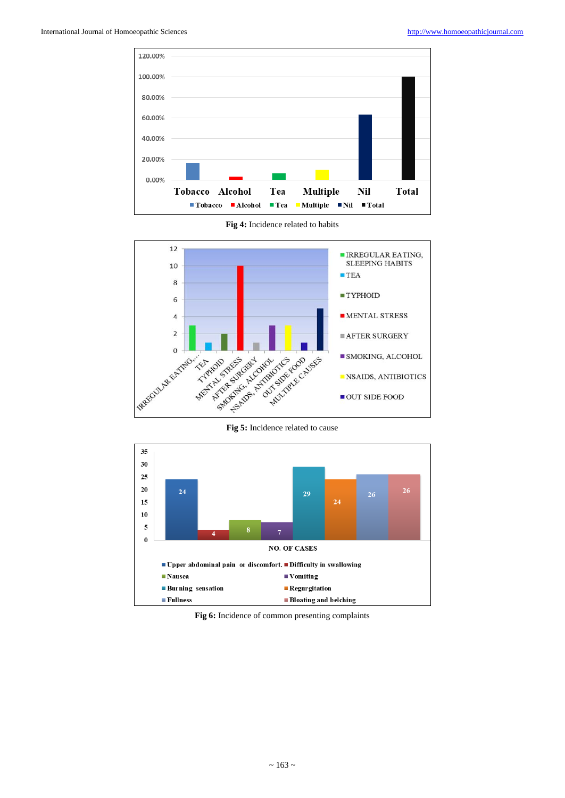

**Fig 4:** Incidence related to habits





**Fig 6:** Incidence of common presenting complaints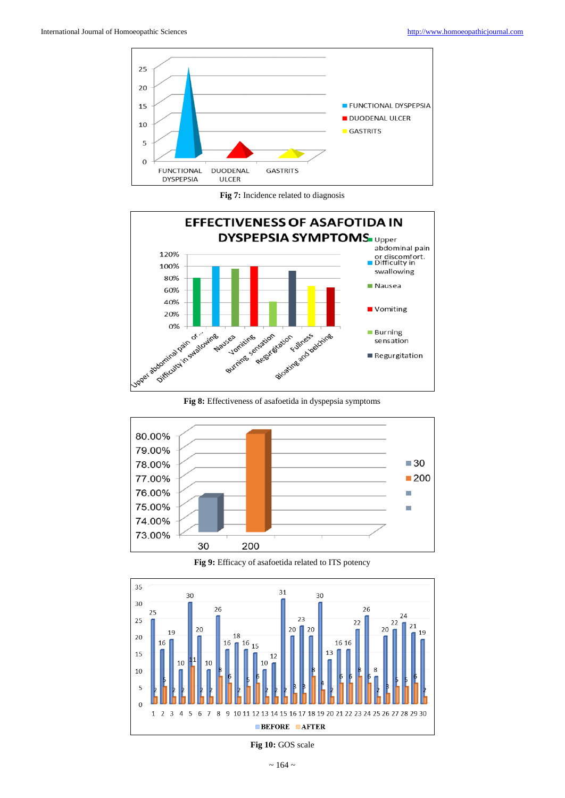

**Fig 7:** Incidence related to diagnosis



**Fig 8:** Effectiveness of asafoetida in dyspepsia symptoms



**Fig 9:** Efficacy of asafoetida related to ITS potency



**Fig 10:** GOS scale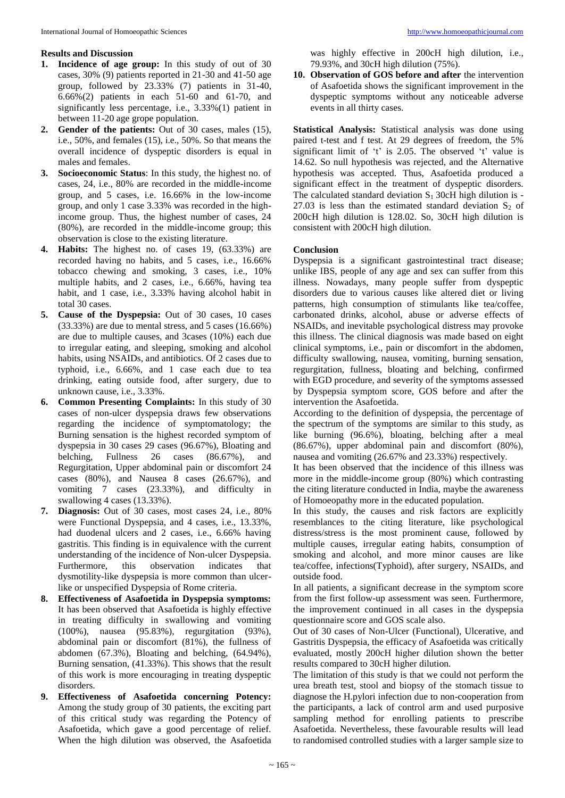# **Results and Discussion**

- **1. Incidence of age group:** In this study of out of 30 cases, 30% (9) patients reported in 21-30 and 41-50 age group, followed by 23.33% (7) patients in 31-40, 6.66%(2) patients in each 51-60 and 61-70, and significantly less percentage, i.e., 3.33%(1) patient in between 11-20 age grope population.
- **2. Gender of the patients:** Out of 30 cases, males (15), i.e., 50%, and females (15), i.e., 50%. So that means the overall incidence of dyspeptic disorders is equal in males and females.
- **3. Socioeconomic Status**: In this study, the highest no. of cases, 24, i.e., 80% are recorded in the middle-income group, and 5 cases, i.e. 16.66% in the low-income group, and only 1 case 3.33% was recorded in the highincome group. Thus, the highest number of cases, 24 (80%), are recorded in the middle-income group; this observation is close to the existing literature.
- **4. Habits:** The highest no. of cases 19, (63.33%) are recorded having no habits, and 5 cases, i.e., 16.66% tobacco chewing and smoking, 3 cases, i.e., 10% multiple habits, and 2 cases, i.e., 6.66%, having tea habit, and 1 case, i.e., 3.33% having alcohol habit in total 30 cases.
- **5. Cause of the Dyspepsia:** Out of 30 cases, 10 cases (33.33%) are due to mental stress, and 5 cases (16.66%) are due to multiple causes, and 3cases (10%) each due to irregular eating, and sleeping, smoking and alcohol habits, using NSAIDs, and antibiotics. Of 2 cases due to typhoid, i.e., 6.66%, and 1 case each due to tea drinking, eating outside food, after surgery, due to unknown cause, i.e., 3.33%.
- **6. Common Presenting Complaints:** In this study of 30 cases of non-ulcer dyspepsia draws few observations regarding the incidence of symptomatology; the Burning sensation is the highest recorded symptom of dyspepsia in 30 cases 29 cases (96.67%), Bloating and belching, Fullness 26 cases (86.67%), and Regurgitation, Upper abdominal pain or discomfort 24 cases (80%), and Nausea 8 cases (26.67%), and vomiting 7 cases (23.33%), and difficulty in swallowing 4 cases (13.33%).
- **7. Diagnosis:** Out of 30 cases, most cases 24, i.e., 80% were Functional Dyspepsia, and 4 cases, i.e., 13.33%, had duodenal ulcers and 2 cases, i.e., 6.66% having gastritis. This finding is in equivalence with the current understanding of the incidence of Non-ulcer Dyspepsia. Furthermore, this observation indicates that dysmotility-like dyspepsia is more common than ulcerlike or unspecified Dyspepsia of Rome criteria.
- **8. Effectiveness of Asafoetida in Dyspepsia symptoms:** It has been observed that Asafoetida is highly effective in treating difficulty in swallowing and vomiting (100%), nausea (95.83%), regurgitation (93%), abdominal pain or discomfort (81%), the fullness of abdomen (67.3%), Bloating and belching, (64.94%), Burning sensation, (41.33%). This shows that the result of this work is more encouraging in treating dyspeptic disorders.
- **9. Effectiveness of Asafoetida concerning Potency:** Among the study group of 30 patients, the exciting part of this critical study was regarding the Potency of Asafoetida, which gave a good percentage of relief. When the high dilution was observed, the Asafoetida

was highly effective in 200cH high dilution, i.e., 79.93%, and 30cH high dilution (75%).

**10. Observation of GOS before and after** the intervention of Asafoetida shows the significant improvement in the dyspeptic symptoms without any noticeable adverse events in all thirty cases.

**Statistical Analysis:** Statistical analysis was done using paired t-test and f test. At 29 degrees of freedom, the 5% significant limit of 't' is 2.05. The observed 't' value is 14.62. So null hypothesis was rejected, and the Alternative hypothesis was accepted. Thus, Asafoetida produced a significant effect in the treatment of dyspeptic disorders. The calculated standard deviation  $S_1$  30cH high dilution is -27.03 is less than the estimated standard deviation  $S_2$  of 200cH high dilution is 128.02. So, 30cH high dilution is consistent with 200cH high dilution.

# **Conclusion**

Dyspepsia is a significant gastrointestinal tract disease; unlike IBS, people of any age and sex can suffer from this illness. Nowadays, many people suffer from dyspeptic disorders due to various causes like altered diet or living patterns, high consumption of stimulants like tea/coffee, carbonated drinks, alcohol, abuse or adverse effects of NSAIDs, and inevitable psychological distress may provoke this illness. The clinical diagnosis was made based on eight clinical symptoms, i.e., pain or discomfort in the abdomen, difficulty swallowing, nausea, vomiting, burning sensation, regurgitation, fullness, bloating and belching, confirmed with EGD procedure, and severity of the symptoms assessed by Dyspepsia symptom score, GOS before and after the intervention the Asafoetida.

According to the definition of dyspepsia, the percentage of the spectrum of the symptoms are similar to this study, as like burning (96.6%), bloating, belching after a meal (86.67%), upper abdominal pain and discomfort (80%), nausea and vomiting (26.67% and 23.33%) respectively.

It has been observed that the incidence of this illness was more in the middle-income group (80%) which contrasting the citing literature conducted in India, maybe the awareness of Homoeopathy more in the educated population.

In this study, the causes and risk factors are explicitly resemblances to the citing literature, like psychological distress/stress is the most prominent cause, followed by multiple causes, irregular eating habits, consumption of smoking and alcohol, and more minor causes are like tea/coffee, infections(Typhoid), after surgery, NSAIDs, and outside food.

In all patients, a significant decrease in the symptom score from the first follow-up assessment was seen. Furthermore, the improvement continued in all cases in the dyspepsia questionnaire score and GOS scale also.

Out of 30 cases of Non-Ulcer (Functional), Ulcerative, and Gastritis Dyspepsia, the efficacy of Asafoetida was critically evaluated, mostly 200cH higher dilution shown the better results compared to 30cH higher dilution.

The limitation of this study is that we could not perform the urea breath test, stool and biopsy of the stomach tissue to diagnose the H.pylori infection due to non-cooperation from the participants, a lack of control arm and used purposive sampling method for enrolling patients to prescribe Asafoetida. Nevertheless, these favourable results will lead to randomised controlled studies with a larger sample size to